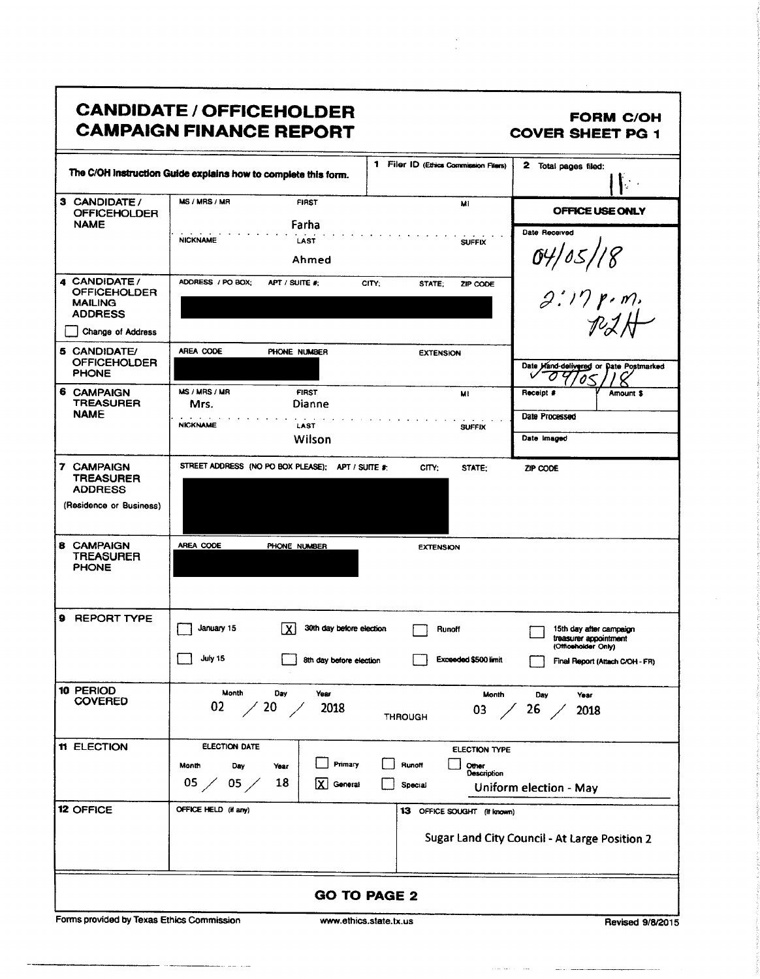|                                                                          | <b>CANDIDATE / OFFICEHOLDER</b><br><b>CAMPAIGN FINANCE REPORT</b>                                                                                     | <b>FORM C/OH</b><br><b>COVER SHEET PG 1</b>                                                              |
|--------------------------------------------------------------------------|-------------------------------------------------------------------------------------------------------------------------------------------------------|----------------------------------------------------------------------------------------------------------|
|                                                                          | 1 Filer ID (Ethics Commission Filers)<br>The C/OH Instruction Guide explains how to complete this form.                                               | 2 Total pages filed:                                                                                     |
| 3 CANDIDATE /<br><b>OFFICEHOLDER</b><br><b>NAME</b>                      | MS / MRS / MR<br><b>FIRST</b><br>M1<br>Farha                                                                                                          | OFFICE USE ONLY<br>Date Received                                                                         |
|                                                                          | <b>NICKNAME</b><br>LAST<br><b>SUFFIX</b><br>Ahmed                                                                                                     |                                                                                                          |
| 4 CANDIDATE/<br><b>OFFICEHOLDER</b><br><b>MAILING</b><br><b>ADDRESS</b>  | ADDRESS / PO BOX;<br>APT / SUITE #:<br>CITY:<br>STATE;<br>ZIP CODE                                                                                    | 04/05/18<br>2:17 p.m.<br>P2H                                                                             |
| Change of Address<br>5 CANDIDATE/<br><b>OFFICEHOLDER</b><br><b>PHONE</b> | AREA CODE<br>PHONE NUMBER<br><b>EXTENSION</b>                                                                                                         | Date Hand-delivered or Date Postmarked<br>a                                                              |
| 6 CAMPAIGN<br><b>TREASURER</b><br><b>NAME</b>                            | MS / MRS / MR<br><b>FIRST</b><br>МI<br>Dianne<br>Mrs.<br><b>NICKNAME</b><br>LAST<br><b>SUFFIX</b><br>Wilson                                           | Receipt #<br>Amount \$<br>Date Processed<br>Date Imaged                                                  |
| 7 CAMPAIGN<br>TREASURER<br><b>ADDRESS</b><br>(Residence or Business)     | STREET ADDRESS (NO PO BOX PLEASE); APT / SUITE #:<br>CITY:<br>STATE:                                                                                  | ZIP CODE                                                                                                 |
| <b>8 CAMPAIGN</b><br>TREASURER<br><b>PHONE</b>                           | AREA CODE<br>PHONE NUMBER<br><b>EXTENSION</b>                                                                                                         |                                                                                                          |
| 9 REPORT TYPE                                                            | January 15<br>1 X I<br>30th day before election<br>Runoff<br>July 15<br><b>Exceeded \$500 limit</b><br>8th day before election                        | 15th day after campaign<br>treasurer appointment<br>(Umoenoloer Unly)<br>Final Report (Attach C/OH - FR) |
| 10 PERIOD<br><b>COVERED</b>                                              | Month<br>Day<br>Year<br>Month<br>02<br>$\frac{20}{ }$<br>2018<br>03<br><b>THROUGH</b>                                                                 | Day<br>Year<br>26<br>2018                                                                                |
| 11 ELECTION                                                              | <b>ELECTION DATE</b><br>ELECTION TYPE<br>Primary<br>Runoff<br>Month<br>Other<br>Day<br>Year<br>Description<br>05 /<br>18<br>05,<br>General<br>Special | Uniform election - May                                                                                   |
| <b>12 OFFICE</b>                                                         | OFFICE HELD (if any)<br>13 OFFICE SOUGHT (it known)                                                                                                   | Sugar Land City Council - At Large Position 2                                                            |
|                                                                          | <b>GO TO PAGE 2</b>                                                                                                                                   |                                                                                                          |

 $\ddot{\phantom{0}}$ 

Forms provided by Texas Ethics Commission

2000au

www.ethics.state.tx.us

Revised 9/8/2015

 $\sim$ 

 $\sim$ 

 $\frac{1}{2} \left( \frac{1}{2} \right) \left( \frac{1}{2} \right) \left( \frac{1}{2} \right) \left( \frac{1}{2} \right) \left( \frac{1}{2} \right) \left( \frac{1}{2} \right) \left( \frac{1}{2} \right) \left( \frac{1}{2} \right) \left( \frac{1}{2} \right) \left( \frac{1}{2} \right) \left( \frac{1}{2} \right) \left( \frac{1}{2} \right) \left( \frac{1}{2} \right) \left( \frac{1}{2} \right) \left( \frac{1}{2} \right) \left( \frac{1}{2} \right) \left( \frac$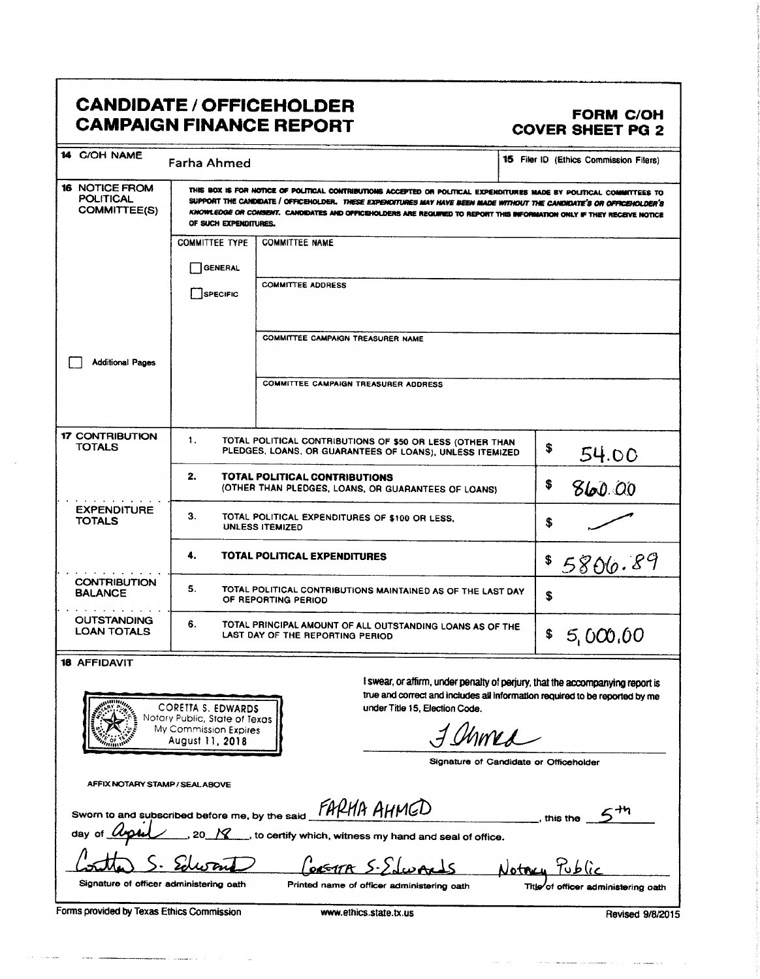### **CANDIDATE / OFFICEHOLDER CAMPAIGN FINANCE REPORT**

#### FORM C/OH **COVER SHEET PG 2**

| 14 C/OH NAME                                                     | <b>Farha Ahmed</b>                                                                                                    |                                                                                                                                                                                                                                                                                                                                                                         | 15 Filer ID (Ethics Commission Filers)                                                                                                                       |  |  |  |
|------------------------------------------------------------------|-----------------------------------------------------------------------------------------------------------------------|-------------------------------------------------------------------------------------------------------------------------------------------------------------------------------------------------------------------------------------------------------------------------------------------------------------------------------------------------------------------------|--------------------------------------------------------------------------------------------------------------------------------------------------------------|--|--|--|
| <b>16 NOTICE FROM</b><br><b>POLITICAL</b><br><b>COMMITTEE(S)</b> | OF SUCH EXPENDITURES.                                                                                                 | THIS BOX IS FOR NOTICE OF POLITICAL CONTRIBUTIONS ACCEPTED OR POLITICAL EXPENDITURES MADE BY POLITICAL COMMITTEES TO<br>SUPPORT THE CANDIDATE / OFFICEHOLDER. THESE EXPENDITURES MAY HAVE BEEN MADE WITHOUT THE CANDIDATE'S OR OFFICEHOLDER'S<br>KNOWLEDGE OR CONSENT. CANDIDATES AND OFFICEHOLDERS ARE REQUIRED TO REPORT THIS INFORMATION ONLY IF THEY RECEIVE NOTICE |                                                                                                                                                              |  |  |  |
|                                                                  | <b>COMMITTEE TYPE</b>                                                                                                 | <b>COMMITTEE NAME</b>                                                                                                                                                                                                                                                                                                                                                   |                                                                                                                                                              |  |  |  |
|                                                                  | <b>GENERAL</b>                                                                                                        |                                                                                                                                                                                                                                                                                                                                                                         |                                                                                                                                                              |  |  |  |
|                                                                  | SPECIFIC                                                                                                              | <b>COMMITTEE ADDRESS</b>                                                                                                                                                                                                                                                                                                                                                |                                                                                                                                                              |  |  |  |
|                                                                  |                                                                                                                       | COMMITTEE CAMPAIGN TREASURER NAME                                                                                                                                                                                                                                                                                                                                       |                                                                                                                                                              |  |  |  |
| <b>Additional Pages</b>                                          |                                                                                                                       |                                                                                                                                                                                                                                                                                                                                                                         |                                                                                                                                                              |  |  |  |
|                                                                  |                                                                                                                       | <b>COMMITTEE CAMPAIGN TREASURER ADDRESS</b>                                                                                                                                                                                                                                                                                                                             |                                                                                                                                                              |  |  |  |
| <b>17 CONTRIBUTION</b><br>TOTALS                                 | 1.                                                                                                                    | TOTAL POLITICAL CONTRIBUTIONS OF \$50 OR LESS (OTHER THAN<br>PLEDGES, LOANS, OR GUARANTEES OF LOANS), UNLESS ITEMIZED                                                                                                                                                                                                                                                   | \$<br>54.00                                                                                                                                                  |  |  |  |
|                                                                  | 2.<br><b>TOTAL POLITICAL CONTRIBUTIONS</b><br>(OTHER THAN PLEDGES, LOANS, OR GUARANTEES OF LOANS)                     | \$<br>860.00                                                                                                                                                                                                                                                                                                                                                            |                                                                                                                                                              |  |  |  |
| <b>EXPENDITURE</b><br><b>TOTALS</b>                              | 3.<br>TOTAL POLITICAL EXPENDITURES OF \$100 OR LESS.<br>\$<br><b>UNLESS ITEMIZED</b>                                  |                                                                                                                                                                                                                                                                                                                                                                         |                                                                                                                                                              |  |  |  |
| 4.<br>TOTAL POLITICAL EXPENDITURES<br>\$5800.89                  |                                                                                                                       |                                                                                                                                                                                                                                                                                                                                                                         |                                                                                                                                                              |  |  |  |
| <b>CONTRIBUTION</b><br><b>BALANCE</b>                            | 5.<br>TOTAL POLITICAL CONTRIBUTIONS MAINTAINED AS OF THE LAST DAY<br>\$<br>OF REPORTING PERIOD                        |                                                                                                                                                                                                                                                                                                                                                                         |                                                                                                                                                              |  |  |  |
| <b>OUTSTANDING</b><br><b>LOAN TOTALS</b>                         | 6.<br>TOTAL PRINCIPAL AMOUNT OF ALL OUTSTANDING LOANS AS OF THE<br>\$<br>5,000,00<br>LAST DAY OF THE REPORTING PERIOD |                                                                                                                                                                                                                                                                                                                                                                         |                                                                                                                                                              |  |  |  |
| <b>18 AFFIDAVIT</b>                                              |                                                                                                                       |                                                                                                                                                                                                                                                                                                                                                                         |                                                                                                                                                              |  |  |  |
|                                                                  | <b>CORETTA S. EDWARDS</b><br>Notary Public, State of Texas                                                            | under Title 15, Election Code.                                                                                                                                                                                                                                                                                                                                          | I swear, or affirm, under penalty of perjury, that the accompanying report is<br>true and correct and includes all information required to be reported by me |  |  |  |
|                                                                  | My Commission Expires<br>August 11, 2018                                                                              | $\land$                                                                                                                                                                                                                                                                                                                                                                 |                                                                                                                                                              |  |  |  |
|                                                                  |                                                                                                                       |                                                                                                                                                                                                                                                                                                                                                                         | Signature of Candidate or Officeholder                                                                                                                       |  |  |  |
| AFFIX NOTARY STAMP / SEALABOVE                                   |                                                                                                                       |                                                                                                                                                                                                                                                                                                                                                                         |                                                                                                                                                              |  |  |  |
|                                                                  |                                                                                                                       | Sworn to and subscribed before me, by the said FARHA AHMCD                                                                                                                                                                                                                                                                                                              | this the                                                                                                                                                     |  |  |  |
|                                                                  |                                                                                                                       |                                                                                                                                                                                                                                                                                                                                                                         |                                                                                                                                                              |  |  |  |

to certify which, witness my hand and seal of office.

Signature of officer administering oath

Printed name of officer administering oath

Forms provided by Texas Ethics Commission

Title of officer administering oath

Notry

Revised 9/8/2015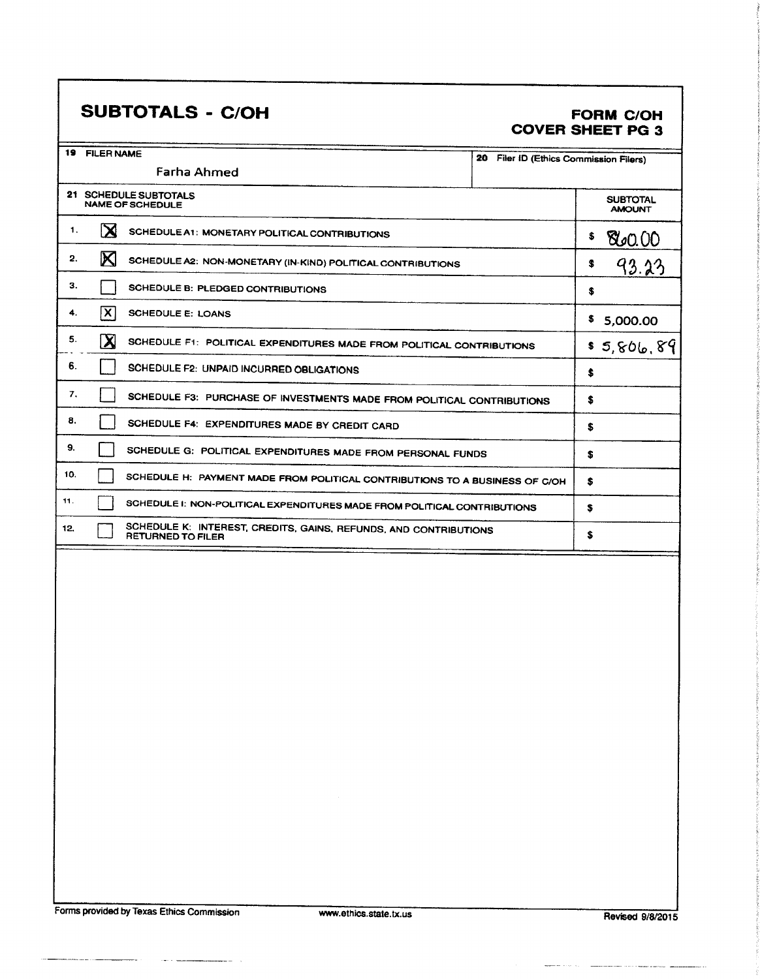### SUBTOTALS - C/OH FORM C/OH

## COVER SHEET PG 3

| 19  | <b>FILER NAME</b>                                                                            |                                           |
|-----|----------------------------------------------------------------------------------------------|-------------------------------------------|
|     | <b>Farha Ahmed</b>                                                                           | 20<br>Filer ID (Ethics Commission Filers) |
|     | 21 SCHEDULE SUBTOTALS<br><b>NAME OF SCHEDULE</b>                                             | <b>SUBTOTAL</b><br><b>AMOUNT</b>          |
| 1.  | X<br>SCHEDULE A1: MONETARY POLITICAL CONTRIBUTIONS                                           | \$<br>80.00                               |
| 2.  | M<br>SCHEDULE A2: NON-MONETARY (IN-KIND) POLITICAL CONTRIBUTIONS                             | s<br>93.23                                |
| З.  | SCHEDULE B: PLEDGED CONTRIBUTIONS                                                            | s                                         |
| 4.  | $ \mathsf{X} $<br><b>SCHEDULE E: LOANS</b>                                                   | \$<br>5,000.00                            |
| 5.  | $\mathbf X$<br>SCHEDULE F1: POLITICAL EXPENDITURES MADE FROM POLITICAL CONTRIBUTIONS         | \$5,806,89                                |
| 6.  | SCHEDULE F2: UNPAID INCURRED OBLIGATIONS                                                     | ŝ                                         |
| 7.  | SCHEDULE F3: PURCHASE OF INVESTMENTS MADE FROM POLITICAL CONTRIBUTIONS                       | S                                         |
| 8.  | SCHEDULE F4: EXPENDITURES MADE BY CREDIT CARD                                                | S                                         |
| 9.  | SCHEDULE G: POLITICAL EXPENDITURES MADE FROM PERSONAL FUNDS                                  | S                                         |
| 10. | SCHEDULE H: PAYMENT MADE FROM POLITICAL CONTRIBUTIONS TO A BUSINESS OF C/OH                  | s                                         |
| 11. | SCHEDULE I: NON-POLITICAL EXPENDITURES MADE FROM POLITICAL CONTRIBUTIONS                     | s                                         |
| 12, | SCHEDULE K: INTEREST, CREDITS, GAINS, REFUNDS, AND CONTRIBUTIONS<br><b>RETURNED TO FILER</b> | \$                                        |
|     |                                                                                              |                                           |

 $\sim$ 

 $\sim$  -  $\sim$ 

<u>and and</u> the state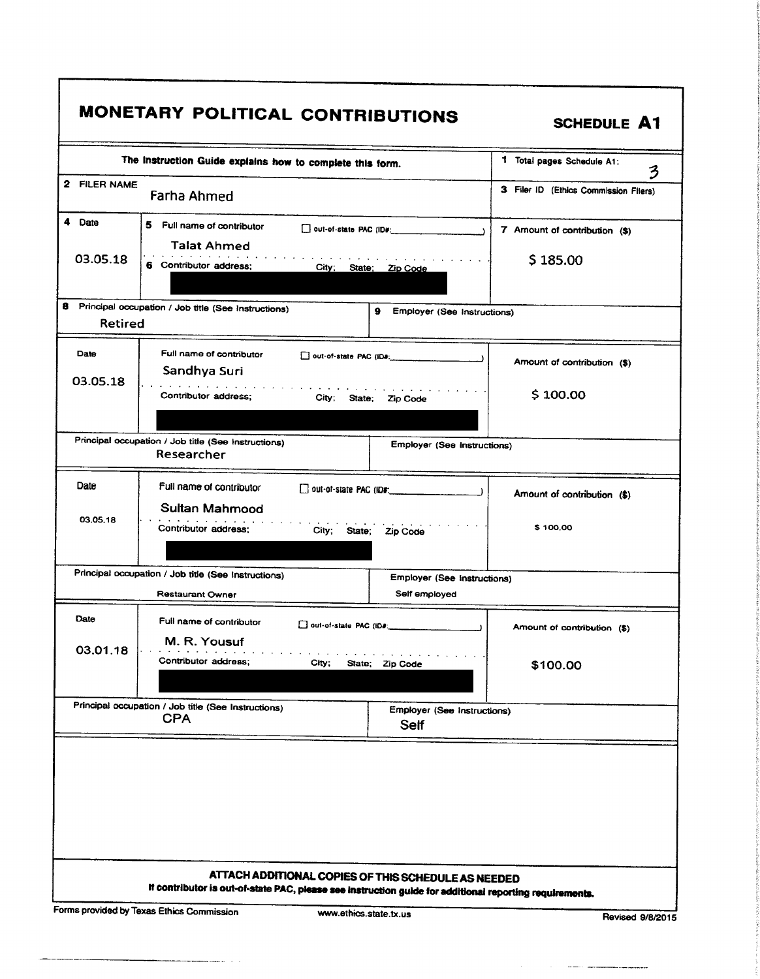| 2 FILER NAME<br>3 Filer ID (Ethics Commission Filers)<br><b>Farha Ahmed</b><br>5<br>Full name of contributor<br>$\Box$ out-of-state PAC (ID#:<br>7 Amount of contribution (\$)<br><b>Talat Ahmed</b><br>03.05.18<br>\$185.00<br>6 Contributor address:<br>City; State; Zip Code<br>9<br>Employer (See Instructions)<br><b>Retired</b><br>Full name of contributor<br>Date<br>out-of-state PAC (ID#.<br>Amount of contribution (\$)<br>Sandhya Suri<br>and the company of the company's<br>\$100.00<br>Contributor address;<br>City:<br>State;<br>Zip Code<br>Principal occupation / Job title (See Instructions)<br>Employer (See Instructions)<br>Researcher<br>Date<br>Full name of contributor<br>Amount of contribution (\$)<br>Sultan Mahmood<br>03.05.18<br>\$100.00<br>Contributor address:<br>City; State;<br>Zip Code<br>Principal occupation / Job title (See Instructions)<br><b>Employer (See Instructions)</b><br>Self employed<br><b>Restaurant Owner</b> | 3 |  |  |
|-------------------------------------------------------------------------------------------------------------------------------------------------------------------------------------------------------------------------------------------------------------------------------------------------------------------------------------------------------------------------------------------------------------------------------------------------------------------------------------------------------------------------------------------------------------------------------------------------------------------------------------------------------------------------------------------------------------------------------------------------------------------------------------------------------------------------------------------------------------------------------------------------------------------------------------------------------------------------|---|--|--|
| 4 Date<br>Principal occupation / Job title (See Instructions)                                                                                                                                                                                                                                                                                                                                                                                                                                                                                                                                                                                                                                                                                                                                                                                                                                                                                                           |   |  |  |
| 03.05.18                                                                                                                                                                                                                                                                                                                                                                                                                                                                                                                                                                                                                                                                                                                                                                                                                                                                                                                                                                |   |  |  |
|                                                                                                                                                                                                                                                                                                                                                                                                                                                                                                                                                                                                                                                                                                                                                                                                                                                                                                                                                                         |   |  |  |
|                                                                                                                                                                                                                                                                                                                                                                                                                                                                                                                                                                                                                                                                                                                                                                                                                                                                                                                                                                         |   |  |  |
|                                                                                                                                                                                                                                                                                                                                                                                                                                                                                                                                                                                                                                                                                                                                                                                                                                                                                                                                                                         |   |  |  |
|                                                                                                                                                                                                                                                                                                                                                                                                                                                                                                                                                                                                                                                                                                                                                                                                                                                                                                                                                                         |   |  |  |
|                                                                                                                                                                                                                                                                                                                                                                                                                                                                                                                                                                                                                                                                                                                                                                                                                                                                                                                                                                         |   |  |  |
|                                                                                                                                                                                                                                                                                                                                                                                                                                                                                                                                                                                                                                                                                                                                                                                                                                                                                                                                                                         |   |  |  |
|                                                                                                                                                                                                                                                                                                                                                                                                                                                                                                                                                                                                                                                                                                                                                                                                                                                                                                                                                                         |   |  |  |
| Date<br>Full name of contributor<br>Amount of contribution (\$)<br>M. R. Yousuf                                                                                                                                                                                                                                                                                                                                                                                                                                                                                                                                                                                                                                                                                                                                                                                                                                                                                         |   |  |  |
| 03.01.18<br>Contributor address;<br>City;<br>State;<br>Zip Code<br>\$100.00                                                                                                                                                                                                                                                                                                                                                                                                                                                                                                                                                                                                                                                                                                                                                                                                                                                                                             |   |  |  |
| Principal occupation / Job title (See Instructions)<br>Employer (See Instructions)<br><b>CPA</b><br><b>Self</b>                                                                                                                                                                                                                                                                                                                                                                                                                                                                                                                                                                                                                                                                                                                                                                                                                                                         |   |  |  |

r

. . . . . . .

 $\frac{1}{2} \left( \frac{1}{2} \right) \left( \frac{1}{2} \right) \left( \frac{1}{2} \right) \left( \frac{1}{2} \right) \left( \frac{1}{2} \right) \left( \frac{1}{2} \right) \left( \frac{1}{2} \right) \left( \frac{1}{2} \right) \left( \frac{1}{2} \right) \left( \frac{1}{2} \right) \left( \frac{1}{2} \right) \left( \frac{1}{2} \right) \left( \frac{1}{2} \right) \left( \frac{1}{2} \right) \left( \frac{1}{2} \right) \left( \frac{1}{2} \right) \left( \frac$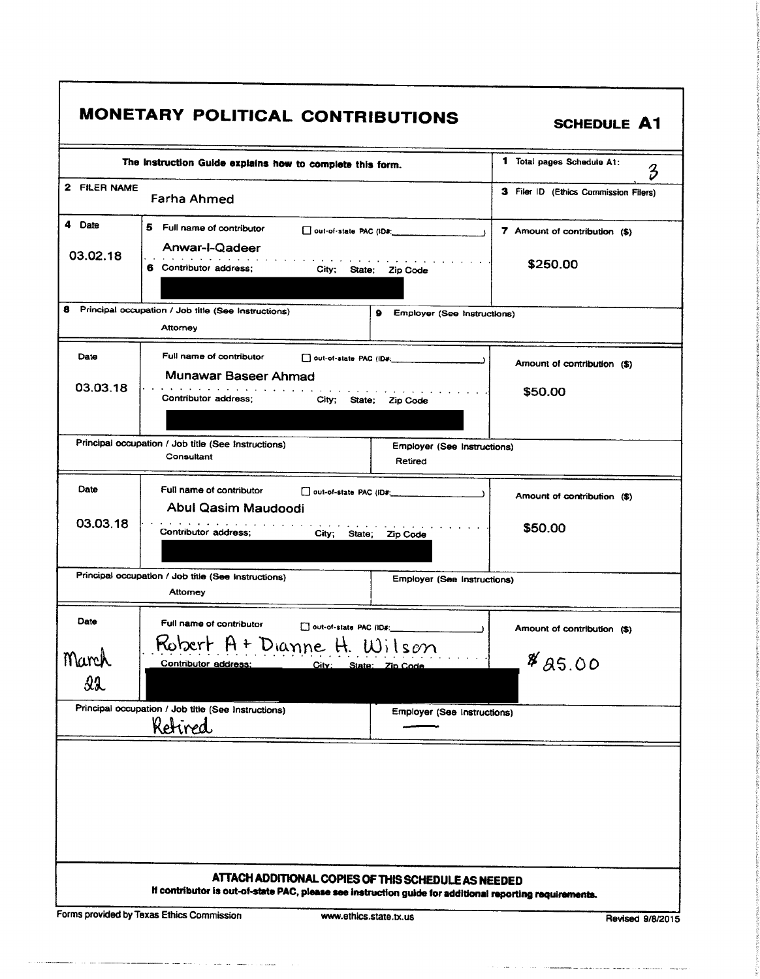| 2 FILER NAME |                                                           | The Instruction Guide explains how to complete this form. |
|--------------|-----------------------------------------------------------|-----------------------------------------------------------|
|              |                                                           | 3<br>3 Filer ID (Ethics Commission Filers)                |
|              | Farha Ahmed                                               |                                                           |
| 4 Date       | 5 Full name of contributor                                | 7 Amount of contribution (\$)                             |
| 03.02.18     | Anwar-I-Qadeer                                            |                                                           |
|              | 6 Contributor address;<br>City; State; Zip Code           | \$250.00                                                  |
| 8            | Principal occupation / Job title (See Instructions)<br>9. | Employer (See Instructions)                               |
|              | Attomey                                                   |                                                           |
| Date         | Full name of contributor<br>out-of-state PAC (ID#:        | Amount of contribution (\$)                               |
| 03.03.18     | Munawar Baseer Ahmad                                      |                                                           |
|              | Contributor address:<br>City; State; Zip Code             | \$50.00                                                   |
|              |                                                           |                                                           |
|              | Principal occupation / Job title (See Instructions)       | <b>Employer (See Instructions)</b>                        |
|              | Consultant                                                | Retired                                                   |
| Date         | Full name of contributor                                  | Amount of contribution (\$)                               |
|              | Abul Qasim Maudoodi                                       |                                                           |
| 03.03.18     | Contributor address;<br>City;<br>State;                   | \$50.00<br>Zip Code                                       |
|              | Principal occupation / Job title (See Instructions)       | <b>Employer (See Instructions)</b>                        |
|              | Attomey                                                   |                                                           |
| Date         | Full name of contributor                                  |                                                           |
|              | Robert A + Dianne H. Wilson                               | Amount of contribution (\$)                               |
| March        | Contributor address:<br>City:<br>State: Zip Code          | %85.00                                                    |
| 22           |                                                           |                                                           |
|              | Principal occupation / Job title (See Instructions)       | <b>Employer (See Instructions)</b>                        |
|              | Ketired                                                   |                                                           |

and the component of the component of the contract of the component of the component of the component of the c

 $\sim$ . . . . . **. . . . . . . . .**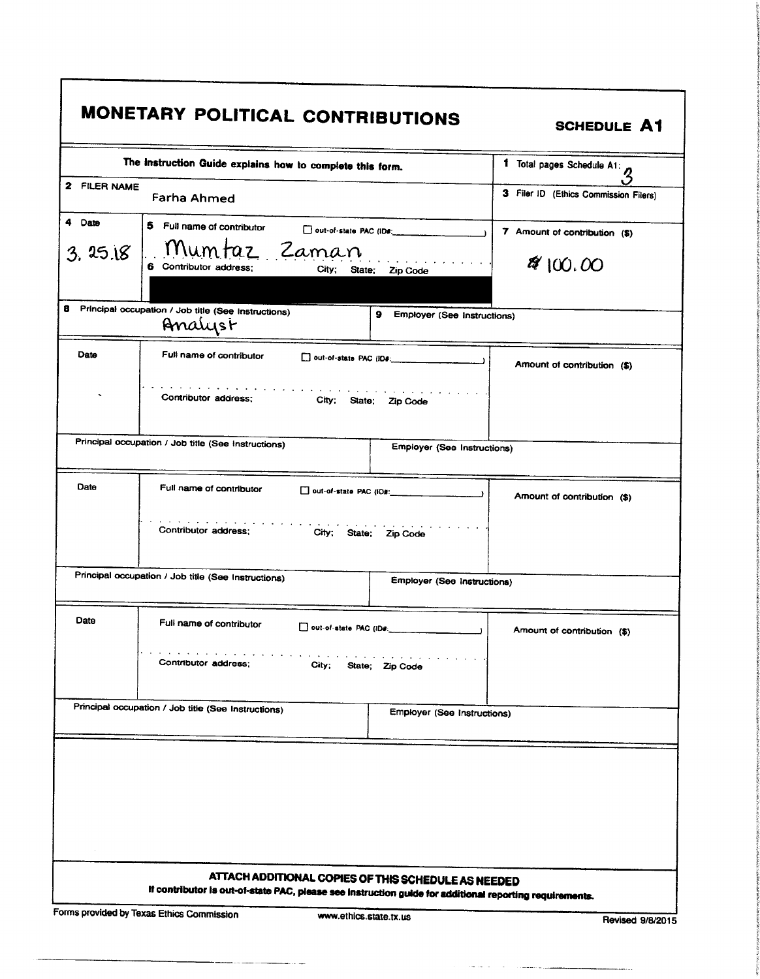| The Instruction Guide explains how to complete this form.<br>1 Total pages Schedule A1: 3<br>2 FILER NAME<br>3 Filer ID (Ethics Commission Filers)<br>Farha Ahmed<br>5 Full name of contributor<br>7 Amount of contribution (\$)<br>Mumtaz Zaman<br>3.25.18<br>8/100.00<br>6 Contributor address;<br>City; State; Zip Code<br>Principal occupation / Job title (See Instructions)<br>9 Employer (See Instructions)<br>Analyst<br>Full name of contributor<br>out-of-state PAC (ID#:<br>Amount of contribution (\$)<br>Contributor address:<br>City; State; Zip Code<br>Principal occupation / Job title (See Instructions)<br><b>Employer (See Instructions)</b><br>Full name of contributor<br>Amount of contribution (\$)<br>Contributor address;<br>City; State; Zip Code<br>Principal occupation / Job title (See Instructions)<br>Employer (See Instructions)<br>Full name of contributor<br>out-of-state PAC (ID#:<br>$\overline{\phantom{a}}$<br>Amount of contribution (\$)<br>Contributor address;<br>City;<br>State; Zip Code<br>Principal occupation / Job title (See Instructions)<br><b>Employer (See Instructions)</b> |
|--------------------------------------------------------------------------------------------------------------------------------------------------------------------------------------------------------------------------------------------------------------------------------------------------------------------------------------------------------------------------------------------------------------------------------------------------------------------------------------------------------------------------------------------------------------------------------------------------------------------------------------------------------------------------------------------------------------------------------------------------------------------------------------------------------------------------------------------------------------------------------------------------------------------------------------------------------------------------------------------------------------------------------------------------------------------------------------------------------------------------------------|
|                                                                                                                                                                                                                                                                                                                                                                                                                                                                                                                                                                                                                                                                                                                                                                                                                                                                                                                                                                                                                                                                                                                                      |
|                                                                                                                                                                                                                                                                                                                                                                                                                                                                                                                                                                                                                                                                                                                                                                                                                                                                                                                                                                                                                                                                                                                                      |
|                                                                                                                                                                                                                                                                                                                                                                                                                                                                                                                                                                                                                                                                                                                                                                                                                                                                                                                                                                                                                                                                                                                                      |
|                                                                                                                                                                                                                                                                                                                                                                                                                                                                                                                                                                                                                                                                                                                                                                                                                                                                                                                                                                                                                                                                                                                                      |
|                                                                                                                                                                                                                                                                                                                                                                                                                                                                                                                                                                                                                                                                                                                                                                                                                                                                                                                                                                                                                                                                                                                                      |
|                                                                                                                                                                                                                                                                                                                                                                                                                                                                                                                                                                                                                                                                                                                                                                                                                                                                                                                                                                                                                                                                                                                                      |
|                                                                                                                                                                                                                                                                                                                                                                                                                                                                                                                                                                                                                                                                                                                                                                                                                                                                                                                                                                                                                                                                                                                                      |
|                                                                                                                                                                                                                                                                                                                                                                                                                                                                                                                                                                                                                                                                                                                                                                                                                                                                                                                                                                                                                                                                                                                                      |
|                                                                                                                                                                                                                                                                                                                                                                                                                                                                                                                                                                                                                                                                                                                                                                                                                                                                                                                                                                                                                                                                                                                                      |
|                                                                                                                                                                                                                                                                                                                                                                                                                                                                                                                                                                                                                                                                                                                                                                                                                                                                                                                                                                                                                                                                                                                                      |
|                                                                                                                                                                                                                                                                                                                                                                                                                                                                                                                                                                                                                                                                                                                                                                                                                                                                                                                                                                                                                                                                                                                                      |
|                                                                                                                                                                                                                                                                                                                                                                                                                                                                                                                                                                                                                                                                                                                                                                                                                                                                                                                                                                                                                                                                                                                                      |
|                                                                                                                                                                                                                                                                                                                                                                                                                                                                                                                                                                                                                                                                                                                                                                                                                                                                                                                                                                                                                                                                                                                                      |
|                                                                                                                                                                                                                                                                                                                                                                                                                                                                                                                                                                                                                                                                                                                                                                                                                                                                                                                                                                                                                                                                                                                                      |
|                                                                                                                                                                                                                                                                                                                                                                                                                                                                                                                                                                                                                                                                                                                                                                                                                                                                                                                                                                                                                                                                                                                                      |
|                                                                                                                                                                                                                                                                                                                                                                                                                                                                                                                                                                                                                                                                                                                                                                                                                                                                                                                                                                                                                                                                                                                                      |
|                                                                                                                                                                                                                                                                                                                                                                                                                                                                                                                                                                                                                                                                                                                                                                                                                                                                                                                                                                                                                                                                                                                                      |
|                                                                                                                                                                                                                                                                                                                                                                                                                                                                                                                                                                                                                                                                                                                                                                                                                                                                                                                                                                                                                                                                                                                                      |
|                                                                                                                                                                                                                                                                                                                                                                                                                                                                                                                                                                                                                                                                                                                                                                                                                                                                                                                                                                                                                                                                                                                                      |
|                                                                                                                                                                                                                                                                                                                                                                                                                                                                                                                                                                                                                                                                                                                                                                                                                                                                                                                                                                                                                                                                                                                                      |
|                                                                                                                                                                                                                                                                                                                                                                                                                                                                                                                                                                                                                                                                                                                                                                                                                                                                                                                                                                                                                                                                                                                                      |
|                                                                                                                                                                                                                                                                                                                                                                                                                                                                                                                                                                                                                                                                                                                                                                                                                                                                                                                                                                                                                                                                                                                                      |

للديدة

г

 $\mathbf{r}$ 

 $\sim$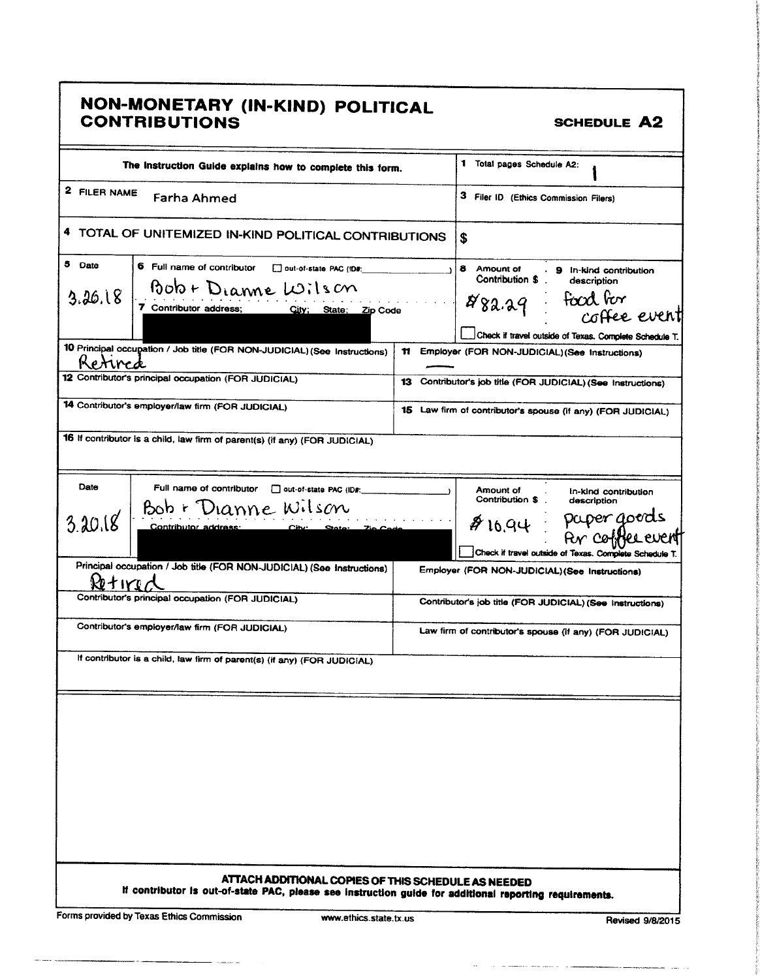| NON-MONETARY (IN-KIND) POLITICAL<br>CONTRIBUTIONS<br><b>SCHEDULE A2</b><br>1 Total pages Schedule A2:<br>The instruction Guide explains how to complete this form.                                                                                                                                  |  |  |  |
|-----------------------------------------------------------------------------------------------------------------------------------------------------------------------------------------------------------------------------------------------------------------------------------------------------|--|--|--|
| -------<br><sup>2</sup> FILER NAME Farha Ahmed<br>3 Filer ID (Ethics Commission Filers)<br>4 TOTAL OF UNITEMIZED IN-KIND POLITICAL CONTRIBUTIONS                                                                                                                                                    |  |  |  |
| _ <del>__________________</del> ___<br>5 Date $\Big $ 6 Full name of contributor $\Big $ out-of-state PAC (ID#.<br>8 Amount of 9 in-kind contribution<br>Contribution \$ description<br>Bob + Dianne Wilson<br>3.26.18<br>food for<br>1882.29<br>7 Contributor address; City; State; Zip Code       |  |  |  |
| coffee event<br>Check if travel outside of Texas. Complete Schedule 7<br>10 Principal occupation / Job title (FOR NON-JUDICIAL) (See Instructions) 11 Employer (FOR NON-JUDICIAL) (See Instructions)<br>Kettred<br>12 Contributor's principal occupation (FOR JUDICIAL)<br>$\overline{\phantom{a}}$ |  |  |  |
| 13 Contributor's job title (FOR JUDICIAL) (See Instructions)<br>14 Contributor's employer/law firm (FOR JUDICIAL)<br>15 Law firm of contributor's spouse (if any) (FOR JUDICIAL)<br>16 If contributor is a child, law firm of parent(s) (if any) (FOR JUDICIAL)                                     |  |  |  |
| Date<br>Full name of contributor   out-of-state PAC (ID#:<br>.<br>Contribution \$<br>In-kind contribution<br>description<br>Bob + Dianne Wilson                                                                                                                                                     |  |  |  |
| \$16.94 Paper goerds<br>Enchant le Par coffee event<br>$3.20.18$ contributor address: $\frac{1}{2}$ City State: $\frac{7}{10}$ Code<br>Principal occupation / Job title (FOR NON-JUDICIAL) (See Instructions) Employer (FOR NON-JUDICIAL) (See Instructions)                                        |  |  |  |
| Retiral occupation (FOR JUDICIAL)<br>Contributor's job title (FOR JUDICIAL) (See Instructions)<br>Contributor's employer/law firm (FOR JUDICIAL)<br>Law firm of contributor's spouse (if any) (FOR JUDICIAL)                                                                                        |  |  |  |
| If contributor is a child, law firm of parent(s) (if any) (FOR JUDICIAL)                                                                                                                                                                                                                            |  |  |  |
|                                                                                                                                                                                                                                                                                                     |  |  |  |
|                                                                                                                                                                                                                                                                                                     |  |  |  |
| ATTACH ADDITIONAL COPIES OF THIS SCHEDULE AS NEEDED<br>If contributor is out-of-state PAC, please see instruction guide for additional reporting requirements.                                                                                                                                      |  |  |  |
| Forms provided by Texas Ethics Commission www.ethics.state.tx.us Revised 9/8/2015                                                                                                                                                                                                                   |  |  |  |

 $\mathcal{L}_{\mathbf{a},\mathbf{b},\mathbf{b}}$ 

 $\overline{a}$ 

20 mars 20 m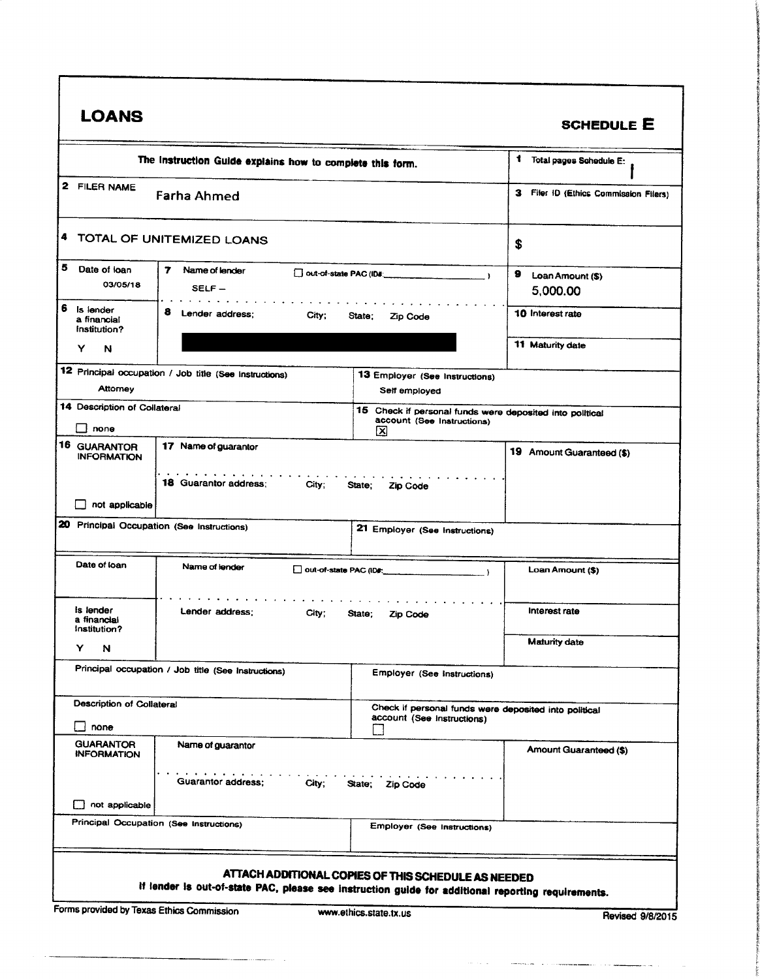|                                                               |                                                                       |                                                                                             | <b>SCHEDULE E</b>                     |
|---------------------------------------------------------------|-----------------------------------------------------------------------|---------------------------------------------------------------------------------------------|---------------------------------------|
| The Instruction Guide explains how to complete this form.     |                                                                       |                                                                                             | 1 Total pages Schedule E:             |
| 2 FILER NAME<br><b>Farha Ahmed</b>                            |                                                                       |                                                                                             | 3 Filer ID (Ethics Commission Filers) |
|                                                               | TOTAL OF UNITEMIZED LOANS                                             |                                                                                             | \$                                    |
| 5<br>Date of loan<br>7<br>Name of lender<br>03/05/18<br>SELF- |                                                                       | Out-of-state PAC (ID#:<br>$\rightarrow$                                                     | 9<br>Loan Amount (\$)<br>5,000.00     |
| Is lender<br>a financial<br>Institution?                      | 8<br>Lender address:<br>City;                                         | State;<br>Zip Code                                                                          | 10 Interest rate                      |
| Y<br>N                                                        |                                                                       |                                                                                             | 11 Maturity date                      |
| <b>Attomey</b>                                                | 12 Principal occupation / Job title (See Instructions)                | 13 Employer (See Instructions)<br>Self employed                                             |                                       |
| 14 Description of Collateral<br>_l none                       |                                                                       | 15 Check if personal funds were deposited into political<br>account (See Instructions)<br>⊠ |                                       |
| 16 GUARANTOR<br>17 Name of guarantor<br><b>INFORMATION</b>    |                                                                       |                                                                                             | 19 Amount Guaranteed (\$)             |
| $\Box$ not applicable                                         | the contract of the contract of the<br>18 Guarantor address:<br>City; | State; Zip Code                                                                             |                                       |
|                                                               | 20 Principal Occupation (See Instructions)                            | 21 Employer (See Instructions)                                                              |                                       |
|                                                               |                                                                       |                                                                                             |                                       |
| Date of loan                                                  | Name of lender                                                        | out-of-state PAC (ID#:                                                                      | Loan Amount (\$)                      |
| Is lender<br>a financial                                      | Lender address;<br>City;                                              | State;<br><b>Zip Code</b>                                                                   | Interest rate                         |
| Institution?<br>Y<br>N                                        |                                                                       |                                                                                             | <b>Maturity date</b>                  |
|                                                               | Principal occupation / Job title (See Instructions)                   | Employer (See instructions)                                                                 |                                       |
| Description of Collateral<br>none                             |                                                                       | Check if personal funds were deposited into political<br>account (See instructions)         |                                       |
| <b>GUARANTOR</b><br><b>INFORMATION</b>                        | Name of guarantor                                                     |                                                                                             | Amount Guaranteed (\$)                |
|                                                               | <b>Guarantor address:</b><br>City;                                    | State; Zip Code                                                                             |                                       |
| $\Box$ not applicable                                         |                                                                       |                                                                                             |                                       |
|                                                               | Principal Occupation (See Instructions)                               | Employer (See Instructions)                                                                 |                                       |

 $\alpha=1.12$ 

1 16 I t f **tions** 

i in and a series of F

and the community of the community of the

. . . . .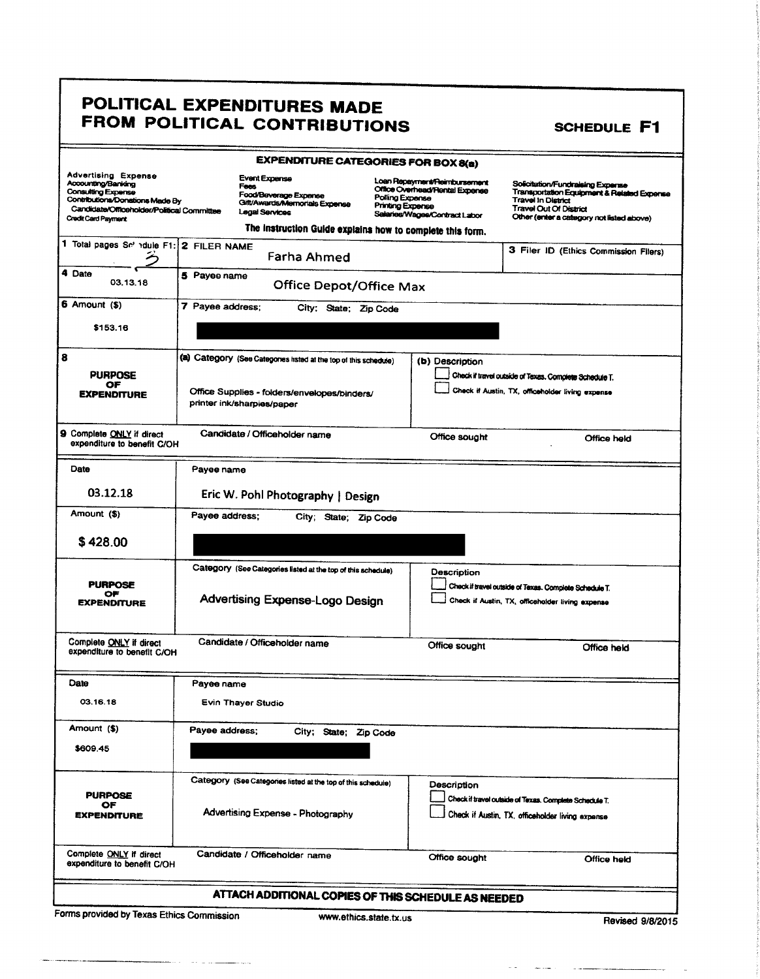### POLITICAL EXPENDITURES MADE FROM POLITICAL CONTRIBUTIONS

**SCHEDULE F1** 

|                                                                                                                                                                                              | <b>EXPENDITURE CATEGORIES FOR BOX 8(a)</b>                                                               |                                                                                                                                               |                                                                                                                                                                             |
|----------------------------------------------------------------------------------------------------------------------------------------------------------------------------------------------|----------------------------------------------------------------------------------------------------------|-----------------------------------------------------------------------------------------------------------------------------------------------|-----------------------------------------------------------------------------------------------------------------------------------------------------------------------------|
| <b>Advertising Expense</b><br>Accounting/Banking<br><b>Consulting Expense</b><br>Contributions/Donations Made By<br>Candidate/Officeholder/Political Committee<br><b>Credit Card Payment</b> | <b>Event Expense</b><br>Fees<br>Food/Beverage Expense<br>Gift/Awards/Memorials Expense<br>Legal Services | Loan Repayment/Reimbursement<br>Office Overhead/Rental Expense<br>Polling Expense<br><b>Printing Expense</b><br>Salaries/Wages/Contract Labor | Solicitation/Fundraising Expense<br>Transportation Equipment & Related Expense<br>Travel In District<br>Travel Out Of District<br>Other (enter a category not listed above) |
| 1 Total pages Se adule F1: 2 FILER NAME                                                                                                                                                      | The instruction Guide explains how to complete this form.                                                |                                                                                                                                               |                                                                                                                                                                             |
| 4 Date                                                                                                                                                                                       | Farha Ahmed                                                                                              |                                                                                                                                               | 3 Filer ID (Ethics Commission Filers)                                                                                                                                       |
| 03.13.18                                                                                                                                                                                     | 5 Payee name<br><b>Office Depot/Office Max</b>                                                           |                                                                                                                                               |                                                                                                                                                                             |
| 6 Amount (\$)                                                                                                                                                                                | 7 Payee address;<br>City; State; Zip Code                                                                |                                                                                                                                               |                                                                                                                                                                             |
| \$153.16                                                                                                                                                                                     |                                                                                                          |                                                                                                                                               |                                                                                                                                                                             |
| 8<br><b>PURPOSE</b>                                                                                                                                                                          | (a) Category (See Categories listed at the top of this schedule)                                         | (b) Description                                                                                                                               | Check if travel outside of Texas. Complete Schedule T.                                                                                                                      |
| ОF<br><b>EXPENDITURE</b>                                                                                                                                                                     | Office Supplies - folders/envelopes/binders/<br>printer ink/sharpies/paper                               |                                                                                                                                               | Check if Austin, TX, officeholder living expense                                                                                                                            |
| 9 Complete ONLY if direct<br>expenditure to benefit C/OH                                                                                                                                     | Candidate / Officeholder name                                                                            | Office sought                                                                                                                                 | Office held                                                                                                                                                                 |
| Date                                                                                                                                                                                         | Payee name                                                                                               |                                                                                                                                               |                                                                                                                                                                             |
| 03.12.18                                                                                                                                                                                     | Eric W. Pohl Photography   Design                                                                        |                                                                                                                                               |                                                                                                                                                                             |
| Amount (\$)                                                                                                                                                                                  | Payee address:<br>City; State; Zip Code                                                                  |                                                                                                                                               |                                                                                                                                                                             |
| \$428.00                                                                                                                                                                                     |                                                                                                          |                                                                                                                                               |                                                                                                                                                                             |
|                                                                                                                                                                                              | Category (See Categories listed at the top of this schedule)                                             | Description                                                                                                                                   |                                                                                                                                                                             |
| <b>PURPOSE</b><br>ОF<br><b>EXPENDITURE</b>                                                                                                                                                   | <b>Advertising Expense-Logo Design</b>                                                                   |                                                                                                                                               | Check if travel outside of Texas. Complete Schedule T.<br>Check if Austin, TX, officeholder living expense                                                                  |
| Complete ONLY if direct<br>expenditure to benefit C/OH                                                                                                                                       | Candidate / Officeholder name                                                                            | Office sought                                                                                                                                 | Office held                                                                                                                                                                 |
| Date                                                                                                                                                                                         | Payee name                                                                                               |                                                                                                                                               |                                                                                                                                                                             |
| 03.16.18                                                                                                                                                                                     | Evin Thayer Studio                                                                                       |                                                                                                                                               |                                                                                                                                                                             |
| Amount (\$)                                                                                                                                                                                  | Payee address;<br>City; State; Zip Code                                                                  |                                                                                                                                               |                                                                                                                                                                             |
| \$609.45                                                                                                                                                                                     |                                                                                                          |                                                                                                                                               |                                                                                                                                                                             |
| <b>PURPOSE</b>                                                                                                                                                                               | Category (See Categories listed at the top of this schedule)                                             | Description                                                                                                                                   | Check if travel outside of Texas. Complete Schedule T.                                                                                                                      |
| OF<br><b>EXPENDITURE</b>                                                                                                                                                                     | Advertising Expense - Photography                                                                        |                                                                                                                                               | Check if Austin, TX, officeholder living expense                                                                                                                            |
| Complete ONLY if direct<br>expenditure to benefit C/OH                                                                                                                                       | Candidate / Officeholder name                                                                            | Office sought                                                                                                                                 | Office held                                                                                                                                                                 |
|                                                                                                                                                                                              | ATTACH ADDITIONAL COPIES OF THIS SCHEDULE AS NEEDED                                                      |                                                                                                                                               |                                                                                                                                                                             |

Forms provided by Texas Ethics Commission

سيما بالمحاملة

Revised 9/8/2015

 $\sim$   $\sim$   $\sim$ 

 $\sim$   $\sim$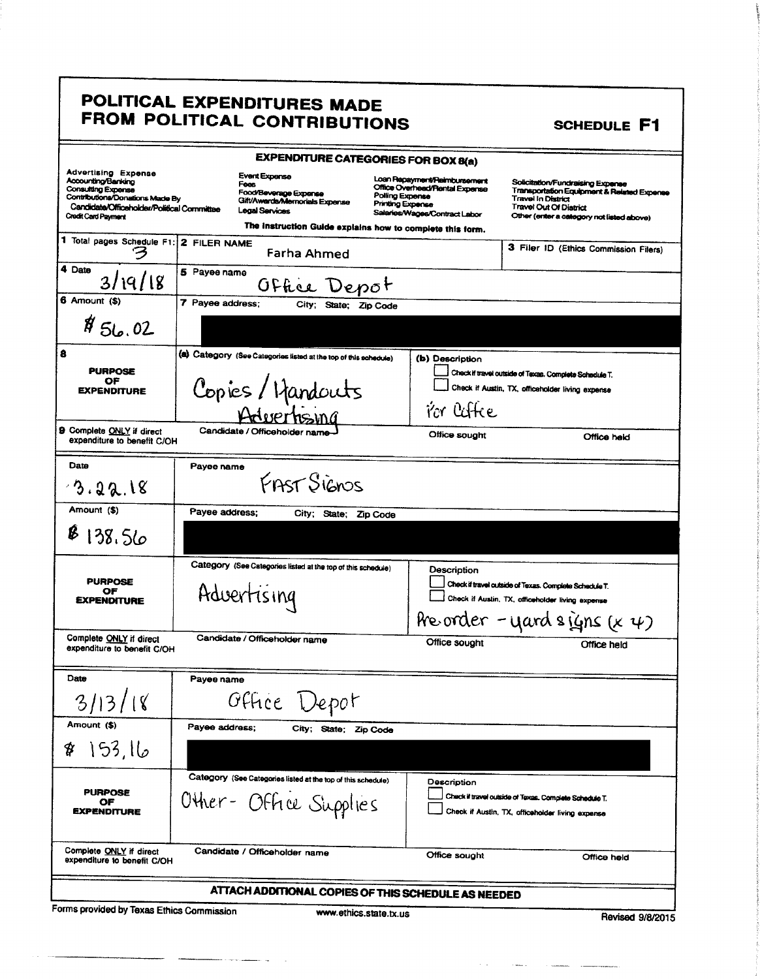### POLITICAL EXPENDITURES MADE FROM POLITICAL CONTRIBUTIONS

|                                                                                                                                                                                       |                  |                                                                         | <b>EXPENDITURE CATEGORIES FOR BOX 8(a)</b>                                             |                                            |                                                                                                 |                                                                                                            |                                                                                                                             |
|---------------------------------------------------------------------------------------------------------------------------------------------------------------------------------------|------------------|-------------------------------------------------------------------------|----------------------------------------------------------------------------------------|--------------------------------------------|-------------------------------------------------------------------------------------------------|------------------------------------------------------------------------------------------------------------|-----------------------------------------------------------------------------------------------------------------------------|
| <b>Advertising Expense</b><br>Accounting/Banking<br>Consulting Expense<br>Contributions/Donations Made By<br>Candidate/Officeholder/Political Committee<br><b>Credit Card Payment</b> |                  | <b>Event Expense</b><br>Fees<br>Food/Beverage Expense<br>Legal Services | Gift/Awards/Memorials Expense                                                          | Polling Expense<br><b>Printing Expense</b> | Loan Repayment/Reimbursement<br>Office Overhead/Rental Expense<br>Salaries/Wages/Contract Labor | <b>Travel In District</b><br>Travel Out Of District                                                        | Solicitation/Fundraising Expense<br>Transportation Equipment & Related Expense<br>Other (enter a category not listed above) |
|                                                                                                                                                                                       |                  |                                                                         | The instruction Guide explains how to complete this form.                              |                                            |                                                                                                 |                                                                                                            |                                                                                                                             |
| 1 Total pages Schedule F1: 2 FILER NAME                                                                                                                                               |                  |                                                                         | Farha Ahmed                                                                            |                                            |                                                                                                 |                                                                                                            | 3 Filer ID (Ethics Commission Filers)                                                                                       |
| 4 Date<br>3/19/18                                                                                                                                                                     | 5 Payee name     |                                                                         | Office Depot                                                                           |                                            |                                                                                                 |                                                                                                            |                                                                                                                             |
| $6$ Amount $(*)$                                                                                                                                                                      | 7 Payee address: |                                                                         | City; State; Zip Code                                                                  |                                            |                                                                                                 |                                                                                                            |                                                                                                                             |
| \$56.02                                                                                                                                                                               |                  |                                                                         |                                                                                        |                                            |                                                                                                 |                                                                                                            |                                                                                                                             |
| 8                                                                                                                                                                                     |                  |                                                                         | (a) Category (See Categories listed at the top of this schedule)                       |                                            | (b) Description                                                                                 |                                                                                                            |                                                                                                                             |
| <b>PURPOSE</b><br>ОF                                                                                                                                                                  |                  |                                                                         |                                                                                        |                                            |                                                                                                 | Check if travel outside of Texas. Complete Schedule T.                                                     |                                                                                                                             |
| <b>EXPENDITURE</b>                                                                                                                                                                    |                  |                                                                         | Copies/Handouts                                                                        |                                            |                                                                                                 | Check if Austin, TX, officeholder living expense                                                           |                                                                                                                             |
|                                                                                                                                                                                       |                  |                                                                         |                                                                                        |                                            | i'or laffee                                                                                     |                                                                                                            |                                                                                                                             |
| 9 Complete ONLY if direct<br>expenditure to benefit C/OH                                                                                                                              |                  | Candidate / Officeholder name-                                          |                                                                                        |                                            | Office sought                                                                                   |                                                                                                            | Office held                                                                                                                 |
| Date                                                                                                                                                                                  | Payee name       |                                                                         |                                                                                        |                                            |                                                                                                 |                                                                                                            |                                                                                                                             |
| 3.22.18                                                                                                                                                                               |                  |                                                                         | FAST Signos                                                                            |                                            |                                                                                                 |                                                                                                            |                                                                                                                             |
| Amount (\$)                                                                                                                                                                           | Payee address;   |                                                                         | City; State; Zip Code                                                                  |                                            |                                                                                                 |                                                                                                            |                                                                                                                             |
| 138.56                                                                                                                                                                                |                  |                                                                         |                                                                                        |                                            |                                                                                                 |                                                                                                            |                                                                                                                             |
| Category (See Categories listed at the top of this schedule)<br><b>PURPOSE</b><br>Advertising<br>ОF<br><b>EXPENDITURE</b>                                                             |                  |                                                                         |                                                                                        |                                            | Description                                                                                     | Check if travel outside of Texas. Complete Schedule T.<br>Check if Austin, TX, officeholder living expense | Pre order - yard signs $(x \psi)$                                                                                           |
| Complete ONLY if direct<br>expenditure to benefit C/OH                                                                                                                                |                  | Candidate / Officeholder name                                           |                                                                                        |                                            | Office sought                                                                                   |                                                                                                            | Office held                                                                                                                 |
| Date                                                                                                                                                                                  | Payee name       |                                                                         |                                                                                        |                                            |                                                                                                 |                                                                                                            |                                                                                                                             |
| 3 <sub>l</sub><br>$\overline{3}$                                                                                                                                                      |                  | Office                                                                  | epor                                                                                   |                                            |                                                                                                 |                                                                                                            |                                                                                                                             |
| Amount (\$)                                                                                                                                                                           | Payee address;   |                                                                         | City; State; Zip Code                                                                  |                                            |                                                                                                 |                                                                                                            |                                                                                                                             |
| طا, 153<br>\$                                                                                                                                                                         |                  |                                                                         |                                                                                        |                                            |                                                                                                 |                                                                                                            |                                                                                                                             |
| <b>PURPOSE</b><br>ОF<br><b>EXPENDITURE</b>                                                                                                                                            |                  |                                                                         | Category (See Categories listed at the top of this schedule)<br>Other- Office Supplies |                                            | Description                                                                                     | Check if travel outside of Texas. Complete Schedule T.<br>Check if Austin, TX, officeholder living expense |                                                                                                                             |
| Complete ONLY if direct<br>expenditure to benefit C/OH                                                                                                                                |                  | Candidate / Officeholder name                                           |                                                                                        |                                            | Office sought                                                                                   |                                                                                                            | Office held                                                                                                                 |
|                                                                                                                                                                                       |                  |                                                                         |                                                                                        |                                            | ATTACH ADDITIONAL COPIES OF THIS SCHEDULE AS NEEDED                                             |                                                                                                            |                                                                                                                             |

Forms provided by Texas Ethics Commission

. . . . . . . . . . .

www.ethics.state.tx.us

and the component of the

**SCHEDULE F1**